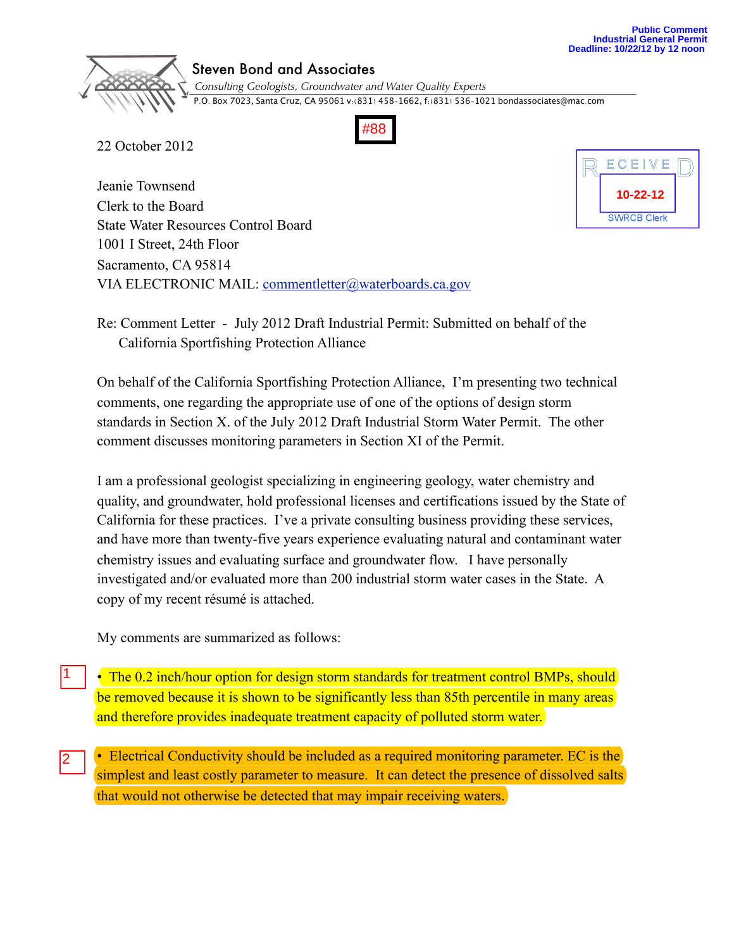

## Steven Bond and Associates

 *Consulting Geologists, Groundwater and Water Quality Experts* P.O. Box 7023, Santa Cruz, CA 95061 v:(831) 458-1662, f:(831) 536-1021 [bondassociates@mac](mailto:bondassociates@mac.com)[.](mailto:bondassociates@mac.com)com

#88

22 October 2012

Jeanie Townsend Clerk to the Board State Water Resources Control Board 1001 I Street, 24th Floor Sacramento, CA 95814 VIA ELECTRONIC MAIL: [commentletter@waterboards.ca.gov](mailto:commentletter@waterboards.ca.gov)



Re: Comment Letter - July 2012 Draft Industrial Permit: Submitted on behalf of the California Sportfishing Protection Alliance

On behalf of the California Sportfishing Protection Alliance, I'm presenting two technical comments, one regarding the appropriate use of one of the options of design storm standards in Section X. of the July 2012 Draft Industrial Storm Water Permit. The other comment discusses monitoring parameters in Section XI of the Permit.

I am a professional geologist specializing in engineering geology, water chemistry and quality, and groundwater, hold professional licenses and certifications issued by the State of California for these practices. I've a private consulting business providing these services, and have more than twenty-five years experience evaluating natural and contaminant water chemistry issues and evaluating surface and groundwater flow. I have personally investigated and/or evaluated more than 200 industrial storm water cases in the State. A copy of my recent résumé is attached.

My comments are summarized as follows:

 $\vert$ 1

- The 0.2 inch/hour option for design storm standards for treatment control BMPs, should be removed because it is shown to be significantly less than 85th percentile in many areas and therefore provides inadequate treatment capacity of polluted storm water.
- Electrical Conductivity should be included as a required monitoring parameter. EC is the simplest and least costly parameter to measure. It can detect the presence of dissolved salts that would not otherwise be detected that may impair receiving waters. 2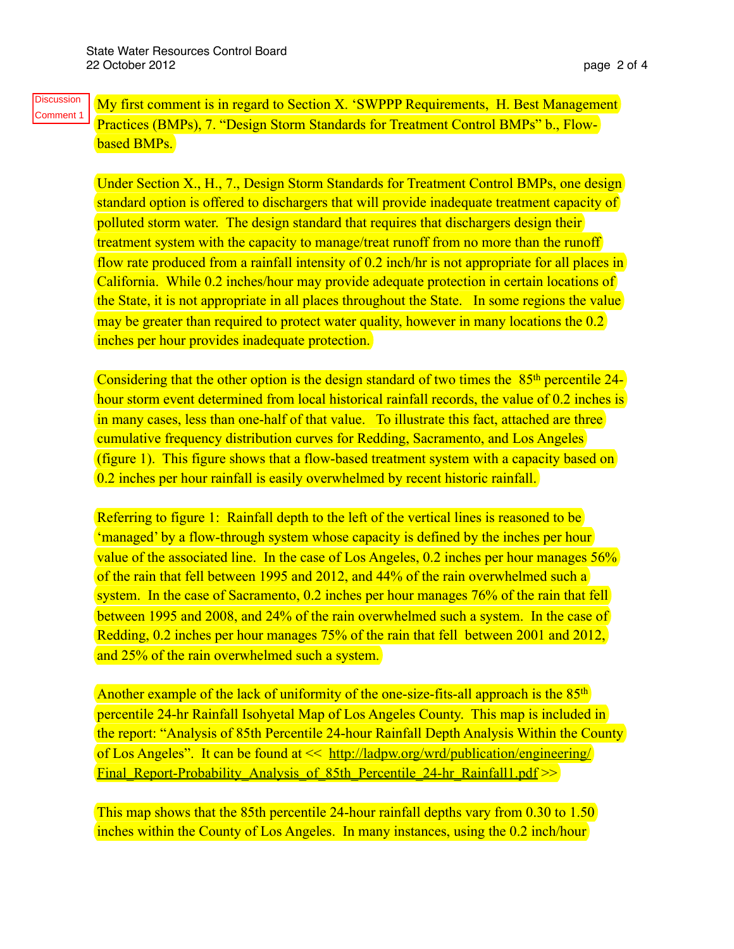My first comment is in regard to Section X. 'SWPPP Requirements, H. Best Management Practices (BMPs), 7. "Design Storm Standards for Treatment Control BMPs" b., Flowbased BMPs. **Discussion** Comment 1

> Under Section X., H., 7., Design Storm Standards for Treatment Control BMPs, one design standard option is offered to dischargers that will provide inadequate treatment capacity of polluted storm water. The design standard that requires that dischargers design their treatment system with the capacity to manage/treat runoff from no more than the runoff flow rate produced from a rainfall intensity of 0.2 inch/hr is not appropriate for all places in California. While 0.2 inches/hour may provide adequate protection in certain locations of the State, it is not appropriate in all places throughout the State. In some regions the value may be greater than required to protect water quality, however in many locations the 0.2 inches per hour provides inadequate protection.

> Considering that the other option is the design standard of two times the 85<sup>th</sup> percentile 24hour storm event determined from local historical rainfall records, the value of 0.2 inches is in many cases, less than one-half of that value. To illustrate this fact, attached are three cumulative frequency distribution curves for Redding, Sacramento, and Los Angeles (figure 1). This figure shows that a flow-based treatment system with a capacity based on 0.2 inches per hour rainfall is easily overwhelmed by recent historic rainfall.

Referring to figure 1: Rainfall depth to the left of the vertical lines is reasoned to be 'managed' by a flow-through system whose capacity is defined by the inches per hour value of the associated line. In the case of Los Angeles,  $0.2$  inches per hour manages  $56\%$ of the rain that fell between 1995 and 2012, and 44% of the rain overwhelmed such a system. In the case of Sacramento, 0.2 inches per hour manages 76% of the rain that fell between 1995 and 2008, and 24% of the rain overwhelmed such a system. In the case of Redding, 0.2 inches per hour manages 75% of the rain that fell between 2001 and 2012, and 25% of the rain overwhelmed such a system.

Another example of the lack of uniformity of the one-size-fits-all approach is the 85<sup>th</sup> percentile 24-hr Rainfall Isohyetal Map of Los Angeles County. This map is included in the report: "Analysis of 85th Percentile 24-hour Rainfall Depth Analysis Within the County of Los Angeles". It can be found at << [http://ladpw.org/wrd/publication/engineering/](http://ladpw.org/wrd/publication/engineering/Final_Report-Probability_Analysis_of_85th_Percentile_24-hr_Rainfall1.pdf) Final Report-Probability Analysis of 85th Percentile 24-hr Rainfall1.pdf  $\gg$ 

This map shows that the 85th percentile 24-hour rainfall depths vary from 0.30 to 1.50 inches within the County of Los Angeles. In many instances, using the 0.2 inch/hour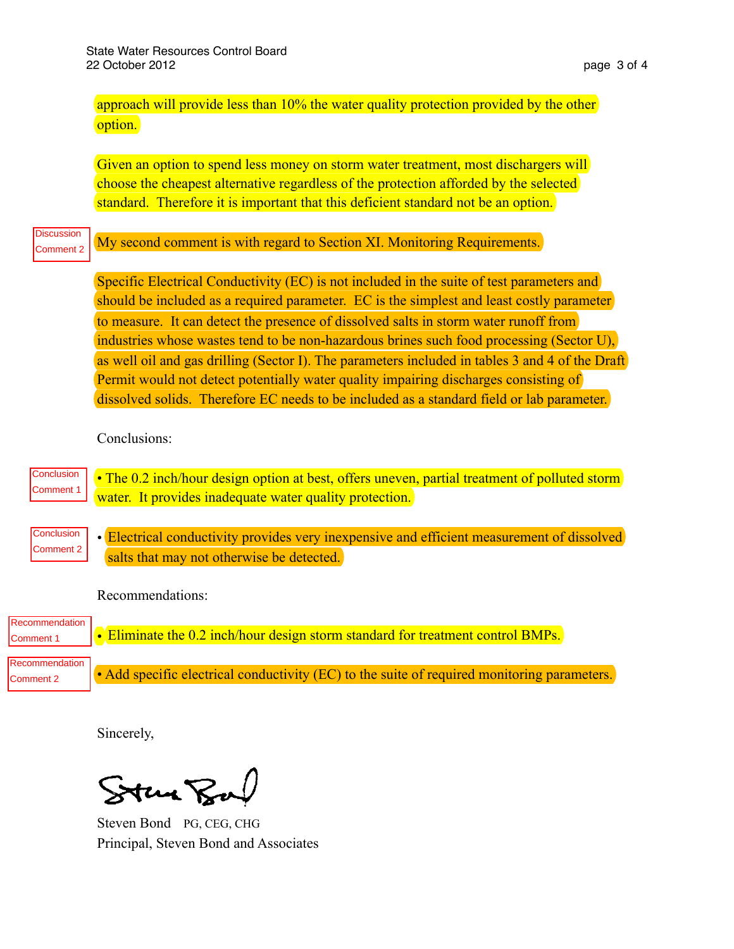| approach will provide less than 10% the water quality protection provided by the other |  |
|----------------------------------------------------------------------------------------|--|
| option.                                                                                |  |

Given an option to spend less money on storm water treatment, most dischargers will choose the cheapest alternative regardless of the protection afforded by the selected standard. Therefore it is important that this deficient standard not be an option.

My second comment is with regard to Section XI. Monitoring Requirements. **Discussion** Comment 2

> Specific Electrical Conductivity (EC) is not included in the suite of test parameters and should be included as a required parameter. EC is the simplest and least costly parameter to measure. It can detect the presence of dissolved salts in storm water runoff from industries whose wastes tend to be non-hazardous brines such food processing (Sector U), as well oil and gas drilling (Sector I). The parameters included in tables 3 and 4 of the Draft Permit would not detect potentially water quality impairing discharges consisting of dissolved solids. Therefore EC needs to be included as a standard field or lab parameter.

Conclusions:

|  | Conclusion • The 0.2 inch/hour design option at best, offers uneven, partial treatment of polluted storm Comment 1 $\alpha$ water. It provides inadequate water quality protection. |
|--|-------------------------------------------------------------------------------------------------------------------------------------------------------------------------------------|

• Electrical conductivity provides very inexpensive and efficient measurement of dissolved salts that may not otherwise be detected. **Conclusion** Comment 2

Recommendations:

| Recommendation  <br>Comment 1 | $\cdot$ Eliminate the 0.2 inch/hour design storm standard for treatment control BMPs.       |
|-------------------------------|---------------------------------------------------------------------------------------------|
| Recommendation<br>Comment 2   | • Add specific electrical conductivity (EC) to the suite of required monitoring parameters. |

Sincerely,

Stan Ba

Steven Bond PG, CEG, CHG Principal, Steven Bond and Associates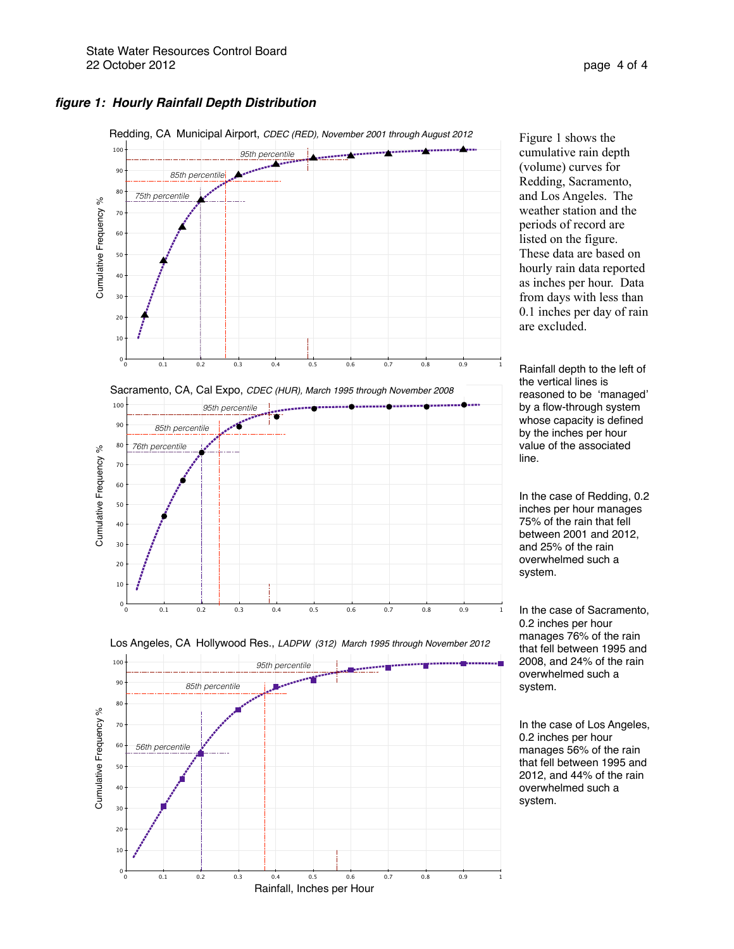#### *figure 1: Hourly Rainfall Depth Distribution*



Figure 1 shows the cumulative rain depth (volume) curves for Redding, Sacramento, and Los Angeles. The weather station and the periods of record are listed on the figure. These data are based on hourly rain data reported as inches per hour. Data from days with less than 0.1 inches per day of rain are excluded.

Rainfall depth to the left of the vertical lines is reasoned to be 'managed' by a flow-through system whose capacity is defined by the inches per hour value of the associated line.

In the case of Redding, 0.2 inches per hour manages 75% of the rain that fell between 2001 and 2012, and 25% of the rain overwhelmed such a system.

In the case of Sacramento, 0.2 inches per hour manages 76% of the rain that fell between 1995 and 2008, and 24% of the rain overwhelmed such a system.

In the case of Los Angeles, 0.2 inches per hour manages 56% of the rain that fell between 1995 and 2012, and 44% of the rain overwhelmed such a system.

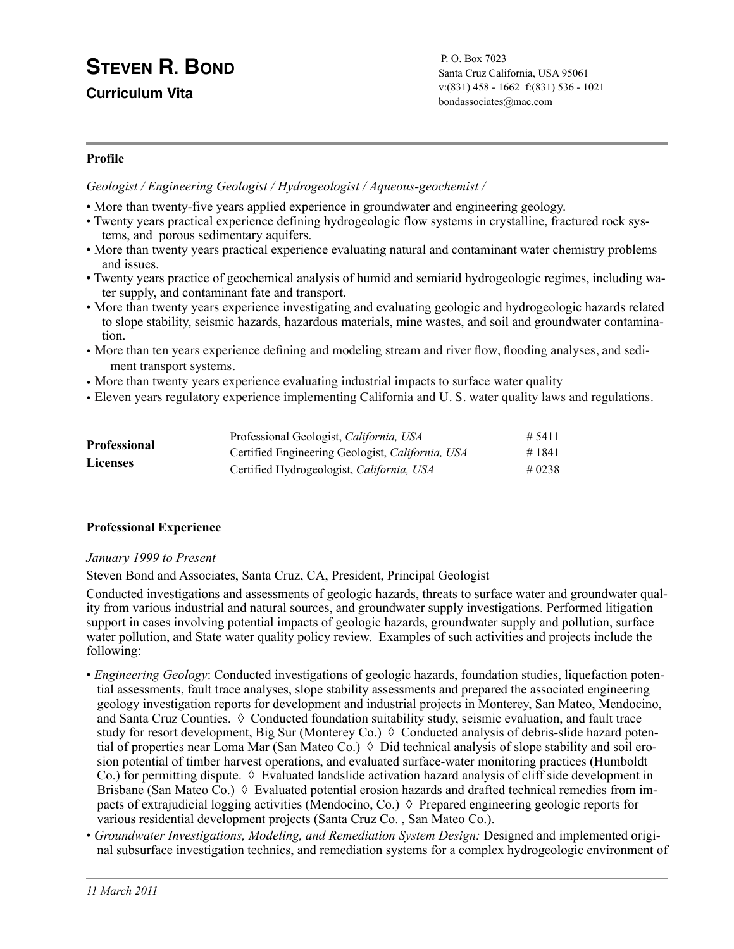# **STEVEN R. BOND**

**Curriculum Vita**

P. O. Box 7023 Santa Cruz California, USA 95061 v:(831) 458 - 1662 f:(831) 536 - 1021 [bondassociates@mac.com](mailto:bondassociates@mac.com)

## **Profile**

*Geologist / Engineering Geologist / Hydrogeologist / Aqueous-geochemist /* 

- More than twenty-five years applied experience in groundwater and engineering geology.
- Twenty years practical experience defining hydrogeologic flow systems in crystalline, fractured rock systems, and porous sedimentary aquifers.
- More than twenty years practical experience evaluating natural and contaminant water chemistry problems and issues.
- Twenty years practice of geochemical analysis of humid and semiarid hydrogeologic regimes, including water supply, and contaminant fate and transport.
- More than twenty years experience investigating and evaluating geologic and hydrogeologic hazards related to slope stability, seismic hazards, hazardous materials, mine wastes, and soil and groundwater contamination.
- More than ten years experience defining and modeling stream and river flow, flooding analyses, and sediment transport systems.
- More than twenty years experience evaluating industrial impacts to surface water quality
- Eleven years regulatory experience implementing California and U. S. water quality laws and regulations.

| <b>Professional</b> | Professional Geologist, California, USA          | # 5411 |
|---------------------|--------------------------------------------------|--------|
|                     | Certified Engineering Geologist, California, USA | #1841  |
| <b>Licenses</b>     | Certified Hydrogeologist, California, USA        | # 0238 |

## **Professional Experience**

## *January 1999 to Present*

Steven Bond and Associates, Santa Cruz, CA, President, Principal Geologist

Conducted investigations and assessments of geologic hazards, threats to surface water and groundwater quality from various industrial and natural sources, and groundwater supply investigations. Performed litigation support in cases involving potential impacts of geologic hazards, groundwater supply and pollution, surface water pollution, and State water quality policy review. Examples of such activities and projects include the following:

- *Engineering Geology*: Conducted investigations of geologic hazards, foundation studies, liquefaction potential assessments, fault trace analyses, slope stability assessments and prepared the associated engineering geology investigation reports for development and industrial projects in Monterey, San Mateo, Mendocino, and Santa Cruz Counties. ◊ Conducted foundation suitability study, seismic evaluation, and fault trace study for resort development, Big Sur (Monterey Co.)  $\Diamond$  Conducted analysis of debris-slide hazard potential of properties near Loma Mar (San Mateo Co.)  $\Diamond$  Did technical analysis of slope stability and soil erosion potential of timber harvest operations, and evaluated surface-water monitoring practices (Humboldt Co.) for permitting dispute.  $\Diamond$  Evaluated landslide activation hazard analysis of cliff side development in Brisbane (San Mateo Co.)  $\Diamond$  Evaluated potential erosion hazards and drafted technical remedies from impacts of extrajudicial logging activities (Mendocino, Co.)  $\Diamond$  Prepared engineering geologic reports for various residential development projects (Santa Cruz Co. , San Mateo Co.).
- *Groundwater Investigations, Modeling, and Remediation System Design:* Designed and implemented original subsurface investigation technics, and remediation systems for a complex hydrogeologic environment of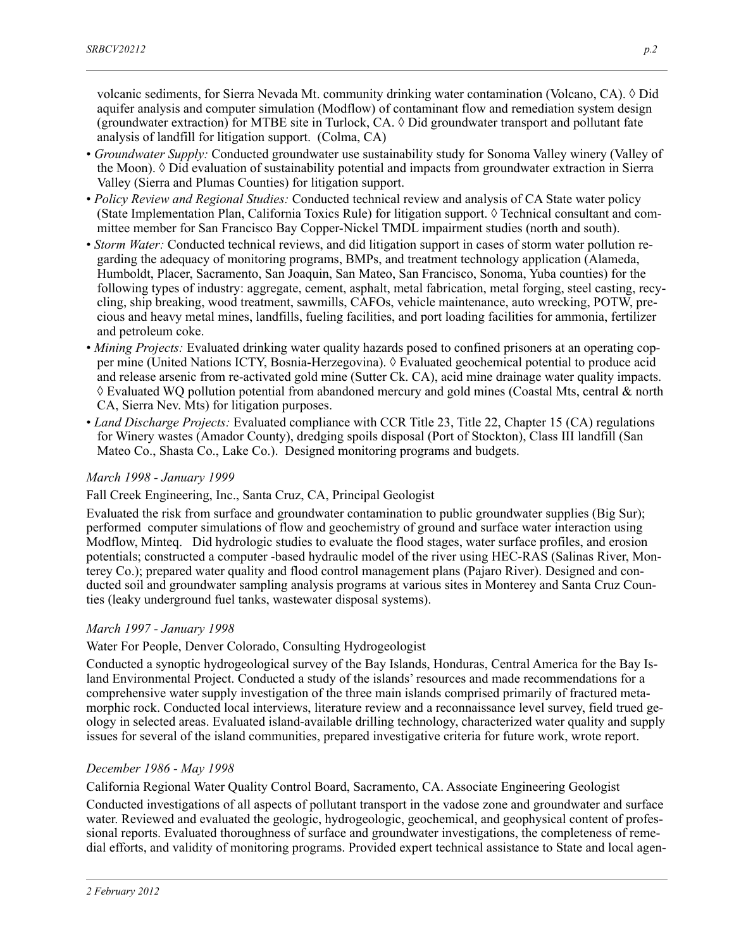volcanic sediments, for Sierra Nevada Mt. community drinking water contamination (Volcano, CA). ◊ Did aquifer analysis and computer simulation (Modflow) of contaminant flow and remediation system design (groundwater extraction) for MTBE site in Turlock,  $CA$ .  $\Diamond$  Did groundwater transport and pollutant fate analysis of landfill for litigation support. (Colma, CA)

- *Groundwater Supply:* Conducted groundwater use sustainability study for Sonoma Valley winery (Valley of the Moon). ◊ Did evaluation of sustainability potential and impacts from groundwater extraction in Sierra Valley (Sierra and Plumas Counties) for litigation support.
- *Policy Review and Regional Studies:* Conducted technical review and analysis of CA State water policy (State Implementation Plan, California Toxics Rule) for litigation support.  $\Diamond$  Technical consultant and committee member for San Francisco Bay Copper-Nickel TMDL impairment studies (north and south).
- *Storm Water:* Conducted technical reviews, and did litigation support in cases of storm water pollution regarding the adequacy of monitoring programs, BMPs, and treatment technology application (Alameda, Humboldt, Placer, Sacramento, San Joaquin, San Mateo, San Francisco, Sonoma, Yuba counties) for the following types of industry: aggregate, cement, asphalt, metal fabrication, metal forging, steel casting, recycling, ship breaking, wood treatment, sawmills, CAFOs, vehicle maintenance, auto wrecking, POTW, precious and heavy metal mines, landfills, fueling facilities, and port loading facilities for ammonia, fertilizer and petroleum coke.
- *Mining Projects:* Evaluated drinking water quality hazards posed to confined prisoners at an operating copper mine (United Nations ICTY, Bosnia-Herzegovina). ◊ Evaluated geochemical potential to produce acid and release arsenic from re-activated gold mine (Sutter Ck. CA), acid mine drainage water quality impacts. ◊ Evaluated WQ pollution potential from abandoned mercury and gold mines (Coastal Mts, central & north CA, Sierra Nev. Mts) for litigation purposes.
- *Land Discharge Projects:* Evaluated compliance with CCR Title 23, Title 22, Chapter 15 (CA) regulations for Winery wastes (Amador County), dredging spoils disposal (Port of Stockton), Class III landfill (San Mateo Co., Shasta Co., Lake Co.). Designed monitoring programs and budgets.

#### *March 1998 - January 1999*

Fall Creek Engineering, Inc., Santa Cruz, CA, Principal Geologist

Evaluated the risk from surface and groundwater contamination to public groundwater supplies (Big Sur); performed computer simulations of flow and geochemistry of ground and surface water interaction using Modflow, Minteq. Did hydrologic studies to evaluate the flood stages, water surface profiles, and erosion potentials; constructed a computer -based hydraulic model of the river using HEC-RAS (Salinas River, Monterey Co.); prepared water quality and flood control management plans (Pajaro River). Designed and conducted soil and groundwater sampling analysis programs at various sites in Monterey and Santa Cruz Counties (leaky underground fuel tanks, wastewater disposal systems).

#### *March 1997 - January 1998*

#### Water For People, Denver Colorado, Consulting Hydrogeologist

Conducted a synoptic hydrogeological survey of the Bay Islands, Honduras, Central America for the Bay Island Environmental Project. Conducted a study of the islands' resources and made recommendations for a comprehensive water supply investigation of the three main islands comprised primarily of fractured metamorphic rock. Conducted local interviews, literature review and a reconnaissance level survey, field trued geology in selected areas. Evaluated island-available drilling technology, characterized water quality and supply issues for several of the island communities, prepared investigative criteria for future work, wrote report.

#### *December 1986 - May 1998*

California Regional Water Quality Control Board, Sacramento, CA. Associate Engineering Geologist

Conducted investigations of all aspects of pollutant transport in the vadose zone and groundwater and surface water. Reviewed and evaluated the geologic, hydrogeologic, geochemical, and geophysical content of professional reports. Evaluated thoroughness of surface and groundwater investigations, the completeness of remedial efforts, and validity of monitoring programs. Provided expert technical assistance to State and local agen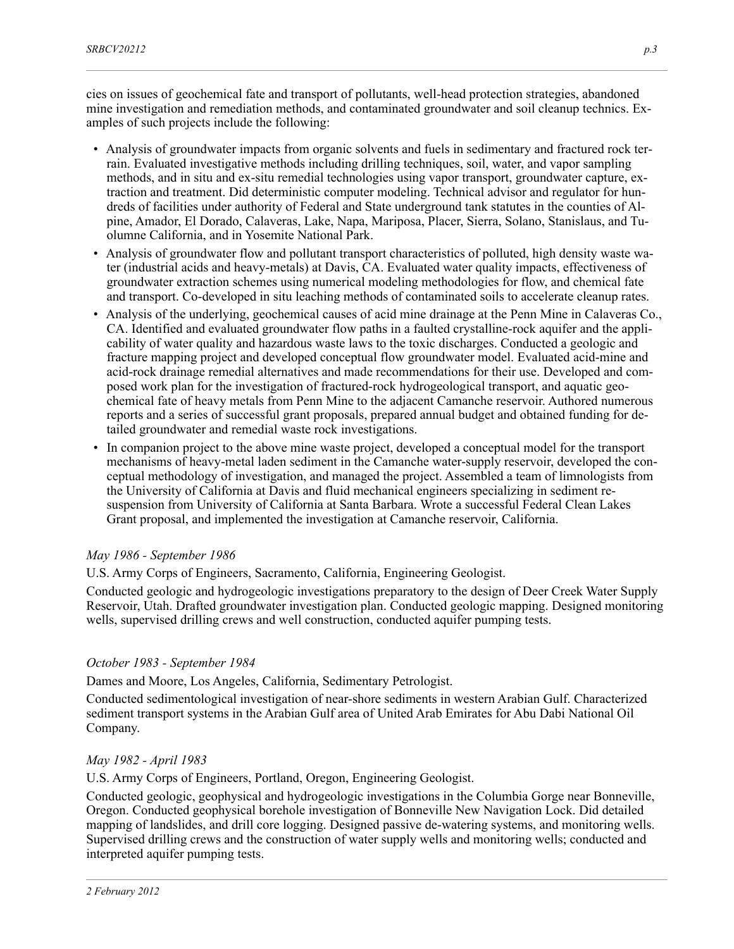cies on issues of geochemical fate and transport of pollutants, well-head protection strategies, abandoned mine investigation and remediation methods, and contaminated groundwater and soil cleanup technics. Examples of such projects include the following:

- Analysis of groundwater impacts from organic solvents and fuels in sedimentary and fractured rock terrain. Evaluated investigative methods including drilling techniques, soil, water, and vapor sampling methods, and in situ and ex-situ remedial technologies using vapor transport, groundwater capture, extraction and treatment. Did deterministic computer modeling. Technical advisor and regulator for hundreds of facilities under authority of Federal and State underground tank statutes in the counties of Alpine, Amador, El Dorado, Calaveras, Lake, Napa, Mariposa, Placer, Sierra, Solano, Stanislaus, and Tuolumne California, and in Yosemite National Park.
- Analysis of groundwater flow and pollutant transport characteristics of polluted, high density waste water (industrial acids and heavy-metals) at Davis, CA. Evaluated water quality impacts, effectiveness of groundwater extraction schemes using numerical modeling methodologies for flow, and chemical fate and transport. Co-developed in situ leaching methods of contaminated soils to accelerate cleanup rates.
- Analysis of the underlying, geochemical causes of acid mine drainage at the Penn Mine in Calaveras Co., CA. Identified and evaluated groundwater flow paths in a faulted crystalline-rock aquifer and the applicability of water quality and hazardous waste laws to the toxic discharges. Conducted a geologic and fracture mapping project and developed conceptual flow groundwater model. Evaluated acid-mine and acid-rock drainage remedial alternatives and made recommendations for their use. Developed and composed work plan for the investigation of fractured-rock hydrogeological transport, and aquatic geochemical fate of heavy metals from Penn Mine to the adjacent Camanche reservoir. Authored numerous reports and a series of successful grant proposals, prepared annual budget and obtained funding for detailed groundwater and remedial waste rock investigations.
- In companion project to the above mine waste project, developed a conceptual model for the transport mechanisms of heavy-metal laden sediment in the Camanche water-supply reservoir, developed the conceptual methodology of investigation, and managed the project. Assembled a team of limnologists from the University of California at Davis and fluid mechanical engineers specializing in sediment resuspension from University of California at Santa Barbara. Wrote a successful Federal Clean Lakes Grant proposal, and implemented the investigation at Camanche reservoir, California.

## *May 1986 - September 1986*

U.S. Army Corps of Engineers, Sacramento, California, Engineering Geologist.

Conducted geologic and hydrogeologic investigations preparatory to the design of Deer Creek Water Supply Reservoir, Utah. Drafted groundwater investigation plan. Conducted geologic mapping. Designed monitoring wells, supervised drilling crews and well construction, conducted aquifer pumping tests.

## *October 1983 - September 1984*

Dames and Moore, Los Angeles, California, Sedimentary Petrologist.

Conducted sedimentological investigation of near-shore sediments in western Arabian Gulf. Characterized sediment transport systems in the Arabian Gulf area of United Arab Emirates for Abu Dabi National Oil Company.

## *May 1982 - April 1983*

U.S. Army Corps of Engineers, Portland, Oregon, Engineering Geologist.

Conducted geologic, geophysical and hydrogeologic investigations in the Columbia Gorge near Bonneville, Oregon. Conducted geophysical borehole investigation of Bonneville New Navigation Lock. Did detailed mapping of landslides, and drill core logging. Designed passive de-watering systems, and monitoring wells. Supervised drilling crews and the construction of water supply wells and monitoring wells; conducted and interpreted aquifer pumping tests.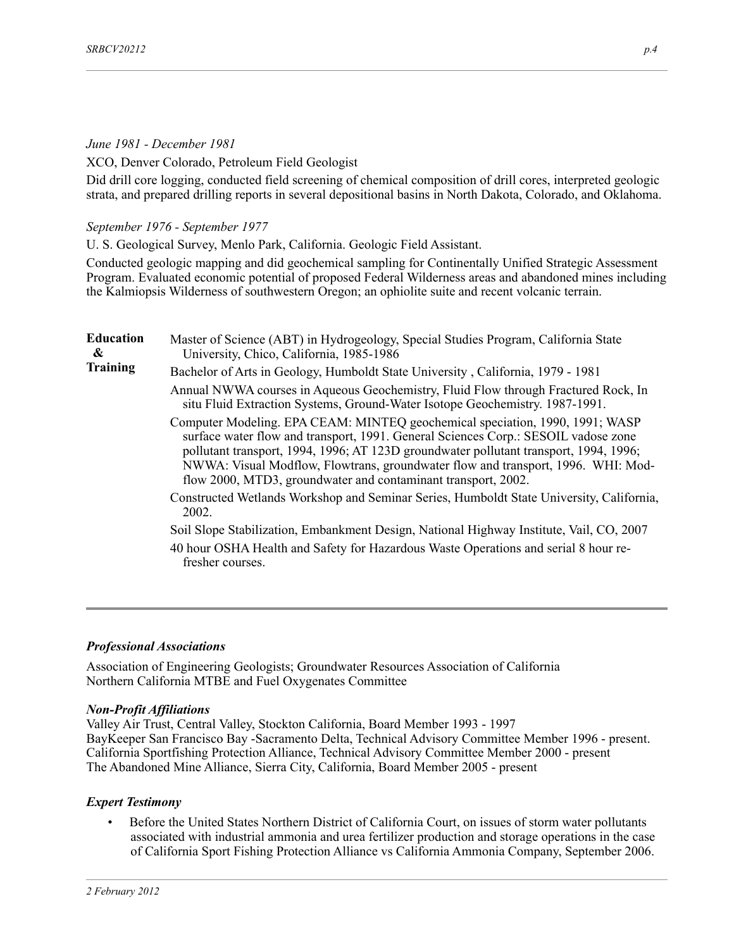### *June 1981 - December 1981*

XCO, Denver Colorado, Petroleum Field Geologist

Did drill core logging, conducted field screening of chemical composition of drill cores, interpreted geologic strata, and prepared drilling reports in several depositional basins in North Dakota, Colorado, and Oklahoma.

*September 1976 - September 1977*

U. S. Geological Survey, Menlo Park, California. Geologic Field Assistant.

Conducted geologic mapping and did geochemical sampling for Continentally Unified Strategic Assessment Program. Evaluated economic potential of proposed Federal Wilderness areas and abandoned mines including the Kalmiopsis Wilderness of southwestern Oregon; an ophiolite suite and recent volcanic terrain.

| <b>Education</b><br>& | Master of Science (ABT) in Hydrogeology, Special Studies Program, California State<br>University, Chico, California, 1985-1986                                                                                                                                                                                                                                                                                   |
|-----------------------|------------------------------------------------------------------------------------------------------------------------------------------------------------------------------------------------------------------------------------------------------------------------------------------------------------------------------------------------------------------------------------------------------------------|
| <b>Training</b>       | Bachelor of Arts in Geology, Humboldt State University, California, 1979 - 1981                                                                                                                                                                                                                                                                                                                                  |
|                       | Annual NWWA courses in Aqueous Geochemistry, Fluid Flow through Fractured Rock, In<br>situ Fluid Extraction Systems, Ground-Water Isotope Geochemistry. 1987-1991.                                                                                                                                                                                                                                               |
|                       | Computer Modeling. EPA CEAM: MINTEQ geochemical speciation, 1990, 1991; WASP<br>surface water flow and transport, 1991. General Sciences Corp.: SESOIL vadose zone<br>pollutant transport, 1994, 1996; AT 123D groundwater pollutant transport, 1994, 1996;<br>NWWA: Visual Modflow, Flowtrans, groundwater flow and transport, 1996. WHI: Mod-<br>flow 2000, MTD3, groundwater and contaminant transport, 2002. |
|                       | Constructed Wetlands Workshop and Seminar Series, Humboldt State University, California,<br>2002.                                                                                                                                                                                                                                                                                                                |
|                       | Soil Slope Stabilization, Embankment Design, National Highway Institute, Vail, CO, 2007                                                                                                                                                                                                                                                                                                                          |
|                       | 40 hour OSHA Health and Safety for Hazardous Waste Operations and serial 8 hour re-<br>fresher courses.                                                                                                                                                                                                                                                                                                          |
|                       |                                                                                                                                                                                                                                                                                                                                                                                                                  |

#### *Professional Associations*

Association of Engineering Geologists; Groundwater Resources Association of California Northern California MTBE and Fuel Oxygenates Committee

#### *Non-Profit Affiliations*

Valley Air Trust, Central Valley, Stockton California, Board Member 1993 - 1997 BayKeeper San Francisco Bay -Sacramento Delta, Technical Advisory Committee Member 1996 - present. California Sportfishing Protection Alliance, Technical Advisory Committee Member 2000 - present The Abandoned Mine Alliance, Sierra City, California, Board Member 2005 - present

#### *Expert Testimony*

• Before the United States Northern District of California Court, on issues of storm water pollutants associated with industrial ammonia and urea fertilizer production and storage operations in the case of California Sport Fishing Protection Alliance vs California Ammonia Company, September 2006.